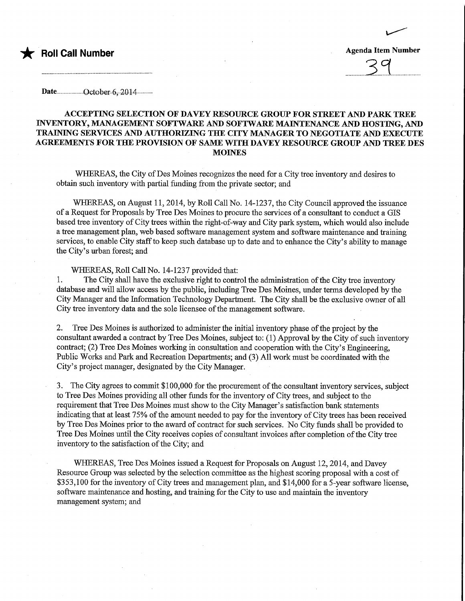

**Roll Call Number** Agenda Item Number Agenda Item Number

......21...

Date........................0ctob®r..6,.20.14.............

## ACCEPTING SELECTION OF DAVEY RESOURCE GROUP FOR STREET AND PARK TREE INVENTORY, MANAGEMENT SOFTWARE AND SOFTWARE MAINTENANCE AND HOSTING, AND TRAINING SERVICES AND AUTHORIZmG THE CITY MANAGER TO NEGOTIATE AND EXECUTE AGREEMENTS FOR THE PROVISION OF SAME WITH DAVEY RESOURCE GROUP AND TREE DES **MOINES**

WHEREAS, the City of Des Moines recognizes the need for a City tree inventory and desires to obtain such inventory with partial fimdmg from the private sector; and

WHEREAS, on August 11, 2014, by Roll Call No. 14-1237, the City Council approved the issuance of a Request for Proposals by Tree Des Moines to procure the services of a consultant to conduct a GIS based tree inventory of City trees within the right-of-way and City park system, which would also include a tree management plan, web based software management system and software maintenance and training services, to enable City staff to keep such database up to date and to enhance the City's ability to manage the City's urban forest; and

WHEREAS, Roll Call No. 14-1237 provided that:

1. The City shall have the exclusive right to control the administration of fhe City tree inventory database and will allow access by the public, including Tree Des Moines, under terms developed by the City Manager and the Information Technology Department. The City shall be the exclusive owner of all City tree inventory data and the sole licensee of the management software.

2. Tree Des Moines is authorized to administer fhe initial mventory phase of the project by the consultant awarded a contract by Tree Des Moines, subject to: (1) Approval by the City of such inventory contract; (2) Tree Des Moines working in consultation and cooperation with the City's Engineering, Public Works and Park and Recreation Departments; and (3) All work must be coordinated with the City's project manager, designated by the City Manager.

3. The City agrees to commit \$ 100,000 for the procurement of the consultant inventory services, subject to Tree Des Moines providing all other funds for the inventory of City trees, and subject to the requirement that Tree Des Moines must show to the City Manager's satisfaction bank statements indicating that at least 75% of the amount needed to pay for the inventory of City trees has been received by Tree Des Moines prior to the award of contract for such services. No City funds shall be provided to Tree Des Moines until the City receives copies of consultant invoices after completion of the City tree inventory to the satisfaction of the City; and

WBEREAS, Tree Des Moines issued a Request for Proposals on August 12,2014, and Davey Resource Group was selected by the selection committee as the highest scoring proposal with a cost of \$353,100 for the inventory of City trees and management plan, and \$14,000 for a 5-year software license, software maintenance and hosting, and training for the City to use and maintain the inventory management system; and